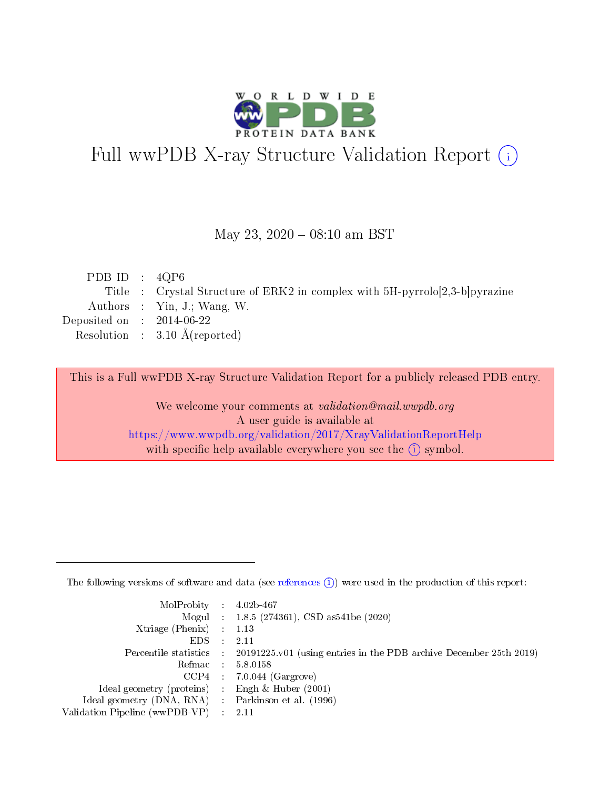

# Full wwPDB X-ray Structure Validation Report (i)

#### May 23,  $2020 - 08:10$  am BST

| PDB ID : $4QP6$             |                                                                             |
|-----------------------------|-----------------------------------------------------------------------------|
|                             | Title : Crystal Structure of ERK2 in complex with 5H-pyrrolo[2,3-b]pyrazine |
|                             | Authors : Yin, J.; Wang, W.                                                 |
| Deposited on : $2014-06-22$ |                                                                             |
|                             | Resolution : $3.10 \text{ Å}$ (reported)                                    |
|                             |                                                                             |

This is a Full wwPDB X-ray Structure Validation Report for a publicly released PDB entry.

We welcome your comments at validation@mail.wwpdb.org A user guide is available at <https://www.wwpdb.org/validation/2017/XrayValidationReportHelp> with specific help available everywhere you see the  $(i)$  symbol.

The following versions of software and data (see [references](https://www.wwpdb.org/validation/2017/XrayValidationReportHelp#references)  $(1)$ ) were used in the production of this report:

| $MolProbability$ : 4.02b-467                       |               |                                                                                            |
|----------------------------------------------------|---------------|--------------------------------------------------------------------------------------------|
|                                                    |               | Mogul : $1.8.5$ (274361), CSD as 541be (2020)                                              |
| Xtriage (Phenix) $: 1.13$                          |               |                                                                                            |
| EDS.                                               | $\mathcal{L}$ | -2.11                                                                                      |
|                                                    |               | Percentile statistics : 20191225.v01 (using entries in the PDB archive December 25th 2019) |
|                                                    |               | Refmac : 5.8.0158                                                                          |
|                                                    |               | $CCP4$ 7.0.044 (Gargrove)                                                                  |
| Ideal geometry (proteins) : Engh $\&$ Huber (2001) |               |                                                                                            |
| Ideal geometry (DNA, RNA) Parkinson et al. (1996)  |               |                                                                                            |
| Validation Pipeline (wwPDB-VP) : 2.11              |               |                                                                                            |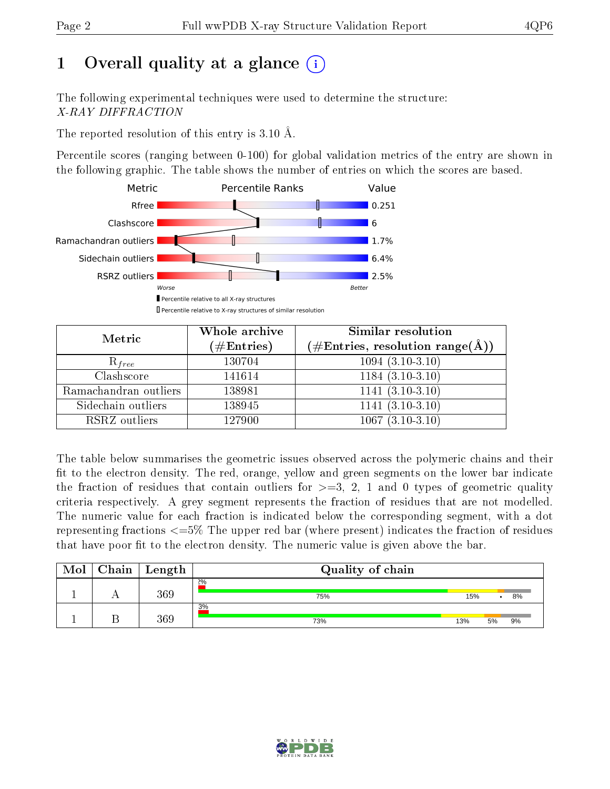# 1 [O](https://www.wwpdb.org/validation/2017/XrayValidationReportHelp#overall_quality)verall quality at a glance  $(i)$

The following experimental techniques were used to determine the structure: X-RAY DIFFRACTION

The reported resolution of this entry is 3.10 Å.

Percentile scores (ranging between 0-100) for global validation metrics of the entry are shown in the following graphic. The table shows the number of entries on which the scores are based.



| Metric                | Whole archive<br>$(\#\text{Entries})$ | Similar resolution<br>$(\#\text{Entries},\,\text{resolution}\,\,\text{range}(\textup{\AA}))$ |
|-----------------------|---------------------------------------|----------------------------------------------------------------------------------------------|
| $R_{free}$            | 130704                                | $1094~(3.\overline{10-3.10)}$                                                                |
| Clashscore            | 141614                                | $1184(3.10-3.10)$                                                                            |
| Ramachandran outliers | 138981                                | $1141 (3.10-3.10)$                                                                           |
| Sidechain outliers    | 138945                                | $1141(3.10-3.10)$                                                                            |
| RSRZ outliers         | 127900                                | $1067(3.10-3.10)$                                                                            |

The table below summarises the geometric issues observed across the polymeric chains and their fit to the electron density. The red, orange, yellow and green segments on the lower bar indicate the fraction of residues that contain outliers for  $>=3, 2, 1$  and 0 types of geometric quality criteria respectively. A grey segment represents the fraction of residues that are not modelled. The numeric value for each fraction is indicated below the corresponding segment, with a dot representing fractions  $\epsilon=5\%$  The upper red bar (where present) indicates the fraction of residues that have poor fit to the electron density. The numeric value is given above the bar.

| Mol | Chain | $\perp$ Length | Quality of chain |     |    |    |
|-----|-------|----------------|------------------|-----|----|----|
|     |       | 369            | $2\%$<br>75%     | 15% |    | 8% |
|     |       | 369            | 3%<br>73%        | 13% | 5% | 9% |

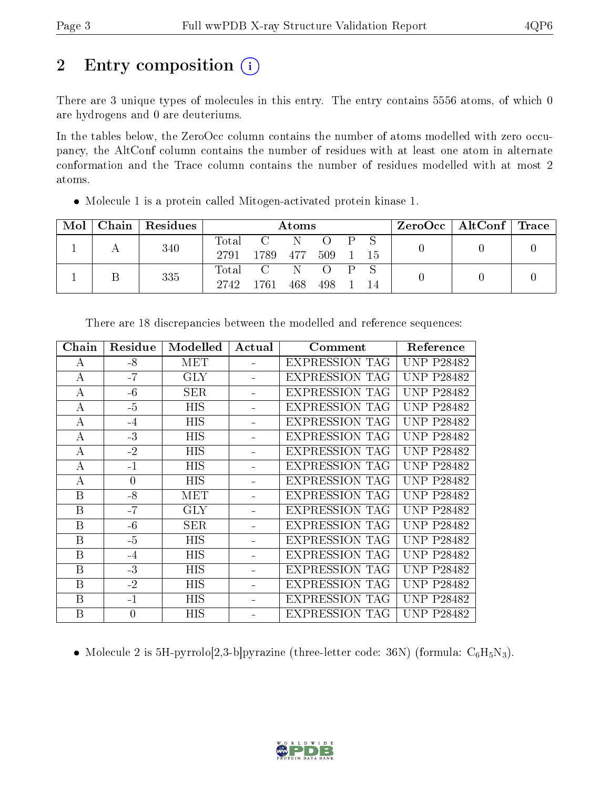# 2 Entry composition  $\left( \cdot \right)$

There are 3 unique types of molecules in this entry. The entry contains 5556 atoms, of which 0 are hydrogens and 0 are deuteriums.

In the tables below, the ZeroOcc column contains the number of atoms modelled with zero occupancy, the AltConf column contains the number of residues with at least one atom in alternate conformation and the Trace column contains the number of residues modelled with at most 2 atoms.

| Mol |  | Chain   Residues | Atoms               |                 |       |  |      | $\text{ZeroOcc}$   AltConf   Trace |  |  |
|-----|--|------------------|---------------------|-----------------|-------|--|------|------------------------------------|--|--|
|     |  | 340              |                     | Total C N O P S |       |  |      |                                    |  |  |
|     |  |                  | 2791 1789 477 509 1 |                 |       |  | - 15 |                                    |  |  |
|     |  | 335              |                     | Total C N O P S |       |  |      |                                    |  |  |
|     |  | 2742 1761        |                     | - 468           | - 498 |  | 14   |                                    |  |  |

Molecule 1 is a protein called Mitogen-activated protein kinase 1.

| Chain            | Residue  | Modelled   | Actual | Comment               | Reference         |
|------------------|----------|------------|--------|-----------------------|-------------------|
| А                | -8       | <b>MET</b> |        | <b>EXPRESSION TAG</b> | <b>UNP P28482</b> |
| $\boldsymbol{A}$ | $-7$     | <b>GLY</b> |        | <b>EXPRESSION TAG</b> | <b>UNP P28482</b> |
| А                | $-6$     | <b>SER</b> |        | <b>EXPRESSION TAG</b> | <b>UNP P28482</b> |
| А                | $-5$     | <b>HIS</b> |        | <b>EXPRESSION TAG</b> | <b>UNP P28482</b> |
| $\boldsymbol{A}$ | $-4$     | <b>HIS</b> |        | <b>EXPRESSION TAG</b> | <b>UNP P28482</b> |
| А                | $-3$     | <b>HIS</b> |        | <b>EXPRESSION TAG</b> | <b>UNP P28482</b> |
| $\bf{A}$         | $-2$     | <b>HIS</b> |        | <b>EXPRESSION TAG</b> | <b>UNP P28482</b> |
| А                | $-1$     | HIS        |        | EXPRESSION TAG        | <b>UNP P28482</b> |
| А                | $\theta$ | HIS        |        | EXPRESSION TAG        | <b>UNP P28482</b> |
| B                | $-8$     | MET        |        | <b>EXPRESSION TAG</b> | <b>UNP P28482</b> |
| B                | $-7$     | <b>GLY</b> |        | <b>EXPRESSION TAG</b> | <b>UNP P28482</b> |
| B                | $-6$     | <b>SER</b> |        | EXPRESSION TAG        | <b>UNP P28482</b> |
| B                | $-5$     | <b>HIS</b> |        | <b>EXPRESSION TAG</b> | <b>UNP P28482</b> |
| $\boldsymbol{B}$ | $-4$     | HIS        |        | <b>EXPRESSION TAG</b> | <b>UNP P28482</b> |
| B                | $-3$     | HIS        |        | <b>EXPRESSION TAG</b> | <b>UNP P28482</b> |
| B                | $-2$     | HIS        |        | EXPRESSION TAG        | <b>UNP P28482</b> |
| B                | $-1$     | НIS        |        | <b>EXPRESSION TAG</b> | <b>UNP P28482</b> |
| B                | $\theta$ | HIS        |        | EXPRESSION TAG        | <b>UNP P28482</b> |

There are 18 discrepancies between the modelled and reference sequences:

• Molecule 2 is 5H-pyrrolo[2,3-b]pyrazine (three-letter code: 36N) (formula:  $C_6H_5N_3$ ).

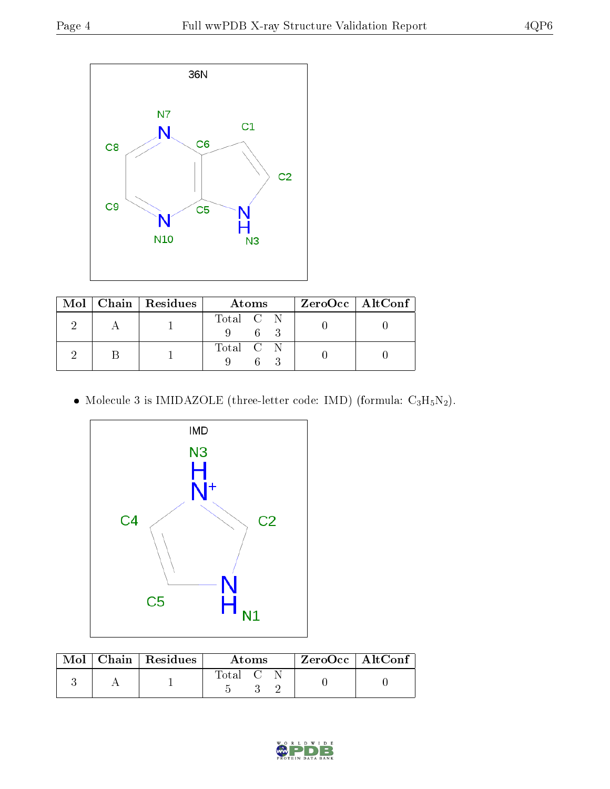

|  | Mol   Chain   Residues | Atoms     | $ZeroOcc \   \ AltConf$ |  |
|--|------------------------|-----------|-------------------------|--|
|  |                        | Total C N |                         |  |
|  |                        | Total C N |                         |  |

• Molecule 3 is IMIDAZOLE (three-letter code: IMD) (formula:  $C_3H_5N_2$ ).



| Mol | $\mid$ Chain $\mid$ Residues<br><b>Atoms</b> |       |  | ZeroOcc   AltConf |  |
|-----|----------------------------------------------|-------|--|-------------------|--|
|     |                                              | Total |  |                   |  |

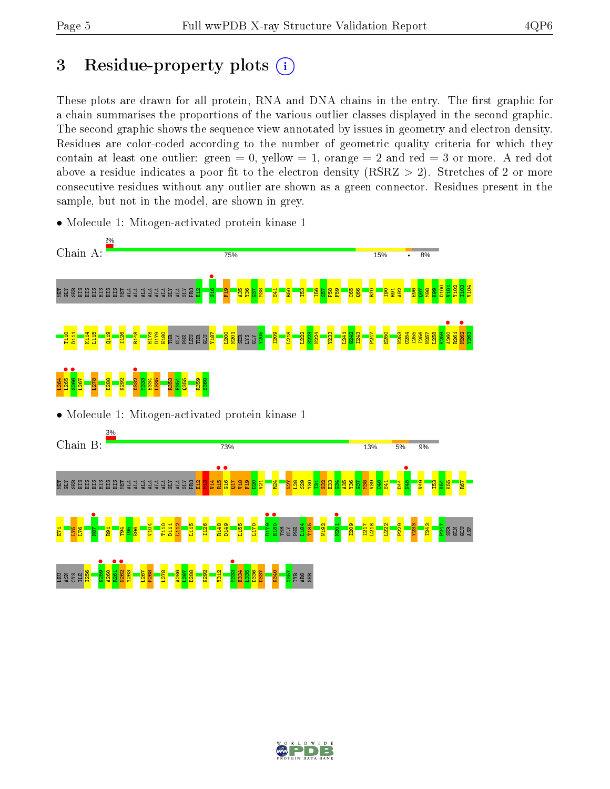# 3 Residue-property plots  $(i)$

These plots are drawn for all protein, RNA and DNA chains in the entry. The first graphic for a chain summarises the proportions of the various outlier classes displayed in the second graphic. The second graphic shows the sequence view annotated by issues in geometry and electron density. Residues are color-coded according to the number of geometric quality criteria for which they contain at least one outlier: green  $= 0$ , yellow  $= 1$ , orange  $= 2$  and red  $= 3$  or more. A red dot above a residue indicates a poor fit to the electron density (RSRZ  $> 2$ ). Stretches of 2 or more consecutive residues without any outlier are shown as a green connector. Residues present in the sample, but not in the model, are shown in grey.

• Molecule 1: Mitogen-activated protein kinase 1



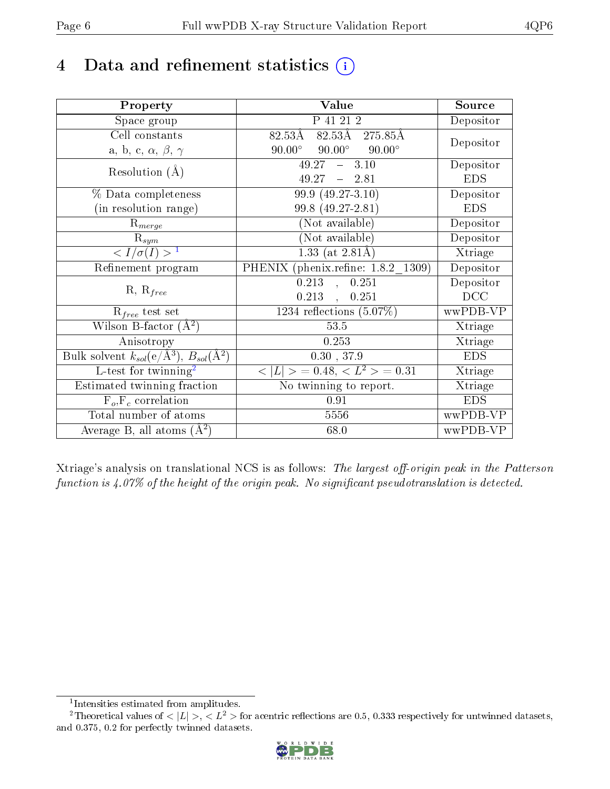## 4 Data and refinement statistics  $(i)$

| Property                                                   | Value                                           | Source     |
|------------------------------------------------------------|-------------------------------------------------|------------|
| Space group                                                | P 41 21 2                                       | Depositor  |
| Cell constants                                             | 82.53Å 275.85Å<br>$82.53\rm\AA$                 |            |
| a, b, c, $\alpha$ , $\beta$ , $\gamma$                     | $90.00^\circ$<br>$90.00^\circ$<br>$90.00^\circ$ | Depositor  |
| Resolution $(A)$                                           | 49.27<br>$-3.10$                                | Depositor  |
|                                                            | 49.27<br>$-2.81$                                | <b>EDS</b> |
| % Data completeness                                        | $99.9(49.27-3.10)$                              | Depositor  |
| (in resolution range)                                      | 99.8 (49.27-2.81)                               | <b>EDS</b> |
| $R_{merge}$                                                | (Not available)                                 | Depositor  |
| $\mathrm{R}_{sym}$                                         | (Not available)                                 | Depositor  |
| $\langle I/\sigma(I)\rangle^{-1}$                          | $1.33$ (at 2.81Å)                               | Xtriage    |
| Refinement program                                         | PHENIX (phenix.refine: 1.8.2 1309)              | Depositor  |
|                                                            | 0.213<br>0.251<br>$\sim$                        | Depositor  |
| $R, R_{free}$                                              | $0.213$ ,<br>0.251                              | DCC        |
| $R_{free}$ test set                                        | 1234 reflections $(5.07\%)$                     | wwPDB-VP   |
| Wilson B-factor $(\AA^2)$                                  | $53.5\,$                                        | Xtriage    |
| Anisotropy                                                 | 0.253                                           | Xtriage    |
| Bulk solvent $k_{sol}$ (e/Å <sup>3</sup> ), $B_{sol}(A^2)$ | 0.30, 37.9                                      | <b>EDS</b> |
| $L$ -test for twinning <sup>2</sup>                        | $< L >$ = 0.48, $< L2$ = 0.31                   | Xtriage    |
| Estimated twinning fraction                                | No twinning to report.                          | Xtriage    |
| $\overline{F_o,F_c}$ correlation                           | 0.91                                            | <b>EDS</b> |
| Total number of atoms                                      | 5556                                            | wwPDB-VP   |
| Average B, all atoms $(A^2)$                               | 68.0                                            | wwPDB-VP   |

Xtriage's analysis on translational NCS is as follows: The largest off-origin peak in the Patterson function is  $4.07\%$  of the height of the origin peak. No significant pseudotranslation is detected.

<sup>&</sup>lt;sup>2</sup>Theoretical values of  $\langle |L| \rangle$ ,  $\langle L^2 \rangle$  for acentric reflections are 0.5, 0.333 respectively for untwinned datasets, and 0.375, 0.2 for perfectly twinned datasets.



<span id="page-5-1"></span><span id="page-5-0"></span><sup>1</sup> Intensities estimated from amplitudes.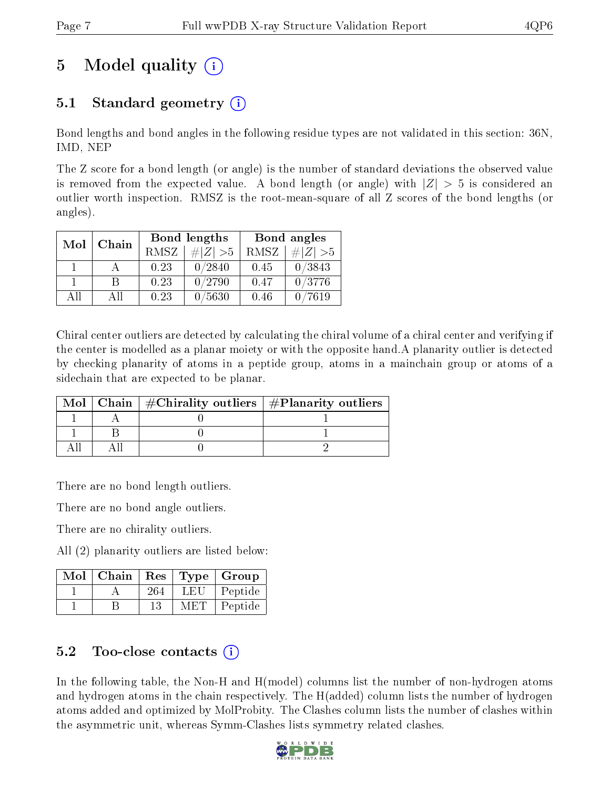# 5 Model quality  $(i)$

## 5.1 Standard geometry  $\overline{()}$

Bond lengths and bond angles in the following residue types are not validated in this section: 36N, IMD, NEP

The Z score for a bond length (or angle) is the number of standard deviations the observed value is removed from the expected value. A bond length (or angle) with  $|Z| > 5$  is considered an outlier worth inspection. RMSZ is the root-mean-square of all Z scores of the bond lengths (or angles).

| Mol | Chain |      | Bond lengths | Bond angles |                              |  |
|-----|-------|------|--------------|-------------|------------------------------|--|
|     |       | RMSZ | $\# Z  > 5$  | RMSZ        | $\vert \# \vert Z \vert > 5$ |  |
|     |       | 0.23 | 0/2840       | 0.45        | 0/3843                       |  |
|     |       | 0.23 | 0/2790       | 0.47        | 0/3776                       |  |
| AH  | ΑH    | 0.23 | 0/5630       | 0.46        | $^{\prime}7619$              |  |

Chiral center outliers are detected by calculating the chiral volume of a chiral center and verifying if the center is modelled as a planar moiety or with the opposite hand.A planarity outlier is detected by checking planarity of atoms in a peptide group, atoms in a mainchain group or atoms of a sidechain that are expected to be planar.

|  | Mol   Chain   $\#\text{Chirality outliers}$   $\#\text{Planarity outliers}$ |
|--|-----------------------------------------------------------------------------|
|  |                                                                             |
|  |                                                                             |
|  |                                                                             |

There are no bond length outliers.

There are no bond angle outliers.

There are no chirality outliers.

All (2) planarity outliers are listed below:

| Mol | Chain | Res |        | Type   Group |
|-----|-------|-----|--------|--------------|
|     |       | 264 | LET.   | Peptide      |
|     |       |     | M BIT. | Peptide      |

### 5.2 Too-close contacts  $\overline{a}$

In the following table, the Non-H and H(model) columns list the number of non-hydrogen atoms and hydrogen atoms in the chain respectively. The H(added) column lists the number of hydrogen atoms added and optimized by MolProbity. The Clashes column lists the number of clashes within the asymmetric unit, whereas Symm-Clashes lists symmetry related clashes.

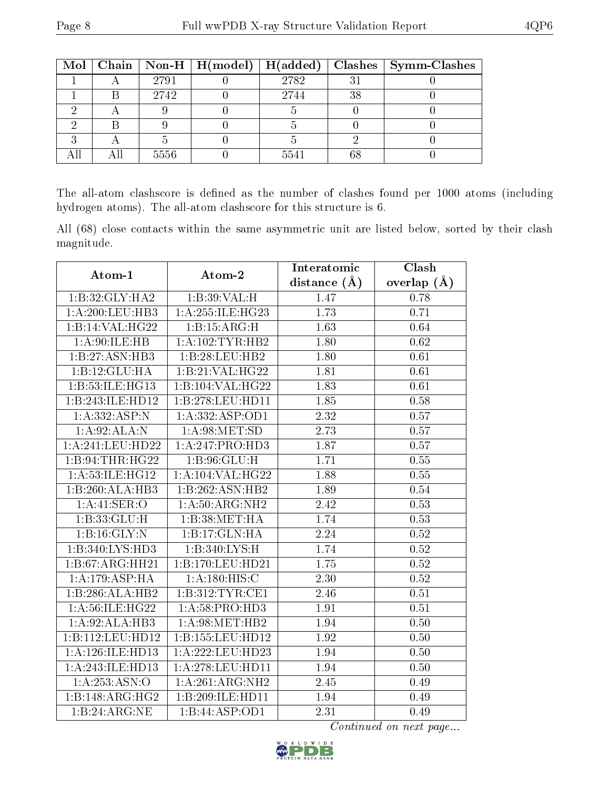|  |      |      |                | Mol   Chain   Non-H   H(model)   H(added)   Clashes   Symm-Clashes |
|--|------|------|----------------|--------------------------------------------------------------------|
|  | 2791 | 2782 | 3 <sup>1</sup> |                                                                    |
|  | 2742 | 2744 | 38             |                                                                    |
|  |      |      |                |                                                                    |
|  |      |      |                |                                                                    |
|  |      |      |                |                                                                    |
|  | 5556 | 5541 |                |                                                                    |

The all-atom clashscore is defined as the number of clashes found per 1000 atoms (including hydrogen atoms). The all-atom clashscore for this structure is 6.

All (68) close contacts within the same asymmetric unit are listed below, sorted by their clash magnitude.

| Atom-1             | Atom-2                                          | Interatomic       | Clash         |
|--------------------|-------------------------------------------------|-------------------|---------------|
|                    |                                                 | distance $(A)$    | overlap $(A)$ |
| 1:B:32:GLY:HA2     | 1:B:39:VAL:H                                    | 1.47              | 0.78          |
| 1:A:200:LEU:HB3    | $1:\overline{A}:255:\iota\text{LE}:\text{HG}23$ | 1.73              | 0.71          |
| 1:B:14:VAL:HG22    | 1:B:15:ARG:H                                    | 1.63              | 0.64          |
| 1: A:90: ILE: HB   | 1:A:102:TYR:HB2                                 | 1.80              | 0.62          |
| 1:B:27:ASN:HB3     | 1:B:28:LEU:HB2                                  | 1.80              | 0.61          |
| 1:B:12:GLU:HA      | 1:B:21:VAL:HG22                                 | 1.81              | 0.61          |
| 1:B:53:ILE:HG13    | 1:B:104:VAL:HG22                                | 1.83              | 0.61          |
| 1:B:243:ILE:HD12   | 1:B:278:LEU:HD11                                | 1.85              | 0.58          |
| 1:A:332:ASP:N      | 1: A: 332: ASP: OD1                             | 2.32              | 0.57          |
| 1:A:92:ALA:N       | 1: A:98: MET:SD                                 | 2.73              | 0.57          |
| 1:A:241:LEU:HD22   | 1:A:247:PRO:HD3                                 | 1.87              | 0.57          |
| 1:B:94:THR:HG22    | 1: B: 96: GLU: H                                | 1.71              | 0.55          |
| 1: A:53: ILE: HG12 | 1: A: 104: VAL: HG22                            | 1.88              | 0.55          |
| 1:B:260:ALA:HB3    | 1:B:262:ASN:HB2                                 | 1.89              | 0.54          |
| 1:A:41:SER:O       | 1: A:50: ARG: NH2                               | 2.42              | 0.53          |
| 1:B:33:GLU:H       | 1:B:38:MET:HA                                   | 1.74              | 0.53          |
| 1:B:16:GLY:N       | 1:B:17:GLN:HA                                   | $\overline{2.24}$ | 0.52          |
| 1:B:340:LYS:HD3    | 1:B:340:LYS:H                                   | 1.74              | $0.52\,$      |
| 1:B:67:ARG:HH21    | 1:B:170:LEU:HD21                                | 1.75              | 0.52          |
| 1:A:179:ASP:HA     | 1:A:180:HIS:C                                   | 2.30              | 0.52          |
| 1:B:286:ALA:HB2    | 1:B:312:TYR:CE1                                 | 2.46              | 0.51          |
| 1: A:56: ILE: HG22 | 1:A:58:PRO:HD3                                  | 1.91              | 0.51          |
| 1:A:92:ALA:HB3     | 1: A:98: MET:HB2                                | 1.94              | 0.50          |
| 1:B:112:LEU:HD12   | 1:B:155:LEU:HD12                                | 1.92              | 0.50          |
| 1:A:126:ILE:HD13   | 1:A:222:LEU:HD23                                | 1.94              | 0.50          |
| 1:A:243:ILE:HD13   | 1:A:278:LEU:HD11                                | 1.94              | 0.50          |
| 1: A: 253: ASN: O  | 1:A:261:ARG:NH2                                 | 2.45              | 0.49          |
| 1:B:148:ARG:HG2    | 1:B:209:ILE:HD11                                | 1.94              | 0.49          |
| 1:B:24:ARG:NE      | 1:B:44:ASP:OD1                                  | 2.31              | 0.49          |

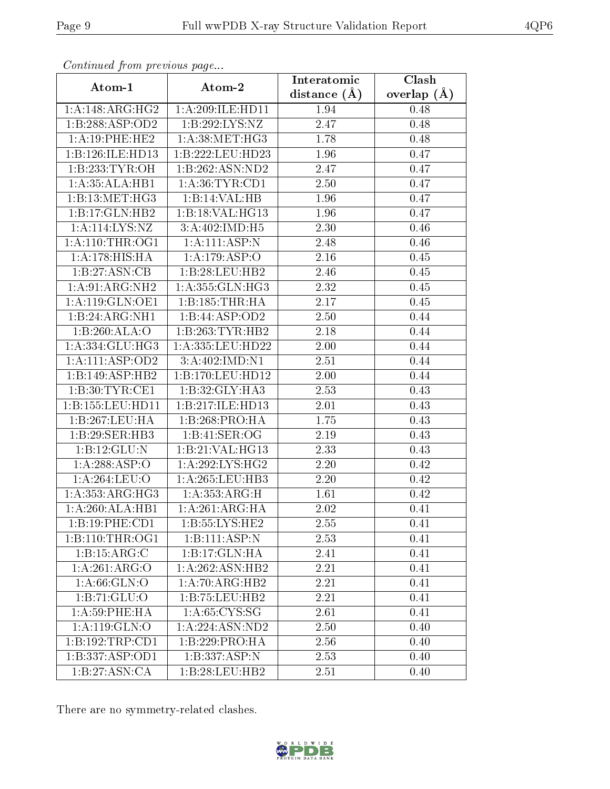| Continuata from previous page |                    | Interatomic    | Clash         |  |
|-------------------------------|--------------------|----------------|---------------|--|
| Atom-1                        | Atom-2             | distance $(A)$ | overlap $(A)$ |  |
| 1:A:148:ARG:HG2               | 1:A:209:ILE:HD11   | 1.94           | 0.48          |  |
| 1:B:288:ASP:OD2               | 1:B:292:LYS:NZ     | 2.47           | 0.48          |  |
| 1:A:19:PHE:HE2                | 1: A:38:MET:HG3    | 1.78           | 0.48          |  |
| 1:B:126:ILE:HD13              | 1:B:222:LEU:HD23   | 1.96           | 0.47          |  |
| 1:B:233:TYR:OH                | 1:B:262:ASN:ND2    | 2.47           | 0.47          |  |
| 1: A: 35: ALA: HB1            | 1: A:36:TYR:CD1    | 2.50           | 0.47          |  |
| 1:B:13:MET:HG3                | 1:B:14:VAL:HB      | 1.96           | 0.47          |  |
| 1:B:17:GLN:HB2                | 1:B:18:VAL:HG13    | 1.96           | 0.47          |  |
| $1:A:\overline{114:LYS:NZ}$   | 3:A:402:IMD:H5     | 2.30           | 0.46          |  |
| 1: A:110:THR:OG1              | 1: A: 111: ASP: N  | 2.48           | 0.46          |  |
| 1:A:178:HIS:HA                | 1:A:179:ASP:O      | 2.16           | 0.45          |  |
| 1:B:27:ASN:CB                 | 1:B:28:LEU:HB2     | 2.46           | 0.45          |  |
| 1:A:91:ARG:NH2                | 1:A:355:GLN:HG3    | 2.32           | 0.45          |  |
| 1:A:119:GLN:OE1               | 1:B:185:THR:HA     | 2.17           | 0.45          |  |
| 1:B:24:ARG:NH1                | 1:B:44:ASP:OD2     | 2.50           | 0.44          |  |
| 1:B:260:ALA:O                 | 1:B:263:TYR:HB2    | 2.18           | 0.44          |  |
| 1:A:334:GLU:HG3               | 1:A:335:LEU:HD22   | 2.00           | 0.44          |  |
| 1: A: 111: ASP: OD2           | 3:A:402:IMD:N1     | 2.51           | 0.44          |  |
| 1:B:149:ASP:HB2               | 1:B:170:LEU:HD12   | 2.00           | 0.44          |  |
| 1:B:30:TYR:CE1                | 1:B:32:GLY:HA3     | 2.53           | 0.43          |  |
| 1:B:155:LEU:HD11              | 1:B:217:ILE:HD13   | 2.01           | 0.43          |  |
| 1:B:267:LEU:HA                | 1:B:268:PRO:HA     | 1.75           | 0.43          |  |
| 1:B:29:SER:HB3                | 1:B:41:SER:OG      | 2.19           | 0.43          |  |
| 1:B:12:GLU:N                  | 1:B:21:VAL:HG13    | 2.33           | 0.43          |  |
| 1:A:288:ASP:O                 | 1: A:292: LYS: HG2 | 2.20           | 0.42          |  |
| 1:A:264:LEU:O                 | 1: A:265:LEU:HB3   | 2.20           | 0.42          |  |
| 1: A: 353: ARG: HG3           | 1: A: 353: ARG: H  | 1.61           | 0.42          |  |
| 1:A:260:ALA:HB1               | 1:A:261:ARG:HA     | 2.02           | 0.41          |  |
| 1:B:19:PHE:CD1                | 1:B:55:LYS:HE2     | 2.55           | 0.41          |  |
| 1:B:110:THR:OG1               | 1:B:111:ASP:N      | 2.53           | 0.41          |  |
| 1: B: 15: ARG: C              | 1:B:17:GLN:HA      | 2.41           | 0.41          |  |
| 1:A:261:ARG:O                 | 1:A:262:ASN:HB2    | 2.21           | 0.41          |  |
| 1: A:66: GLN:O                | 1:A:70:ARG:HB2     | 2.21           | 0.41          |  |
| 1:B:71:GLU:O                  | 1:B:75:LEU:HB2     | 2.21           | 0.41          |  |
| 1: A:59:PHE:HA                | 1: A:65:CYS:SG     | 2.61           | 0.41          |  |
| $1:$ A:119:GLN:O              | 1:A:224:ASN:ND2    | 2.50           | 0.40          |  |
| 1:B:192:TRP:CD1               | 1:B:229:PRO:HA     | 2.56           | 0.40          |  |
| 1:B:337:ASP:OD1               | 1:B:337:ASP:N      | 2.53           | 0.40          |  |
| 1:B:27:ASN:CA                 | 1:B:28:LEU:HB2     | 2.51           | 0.40          |  |

Continued from previous page.

There are no symmetry-related clashes.

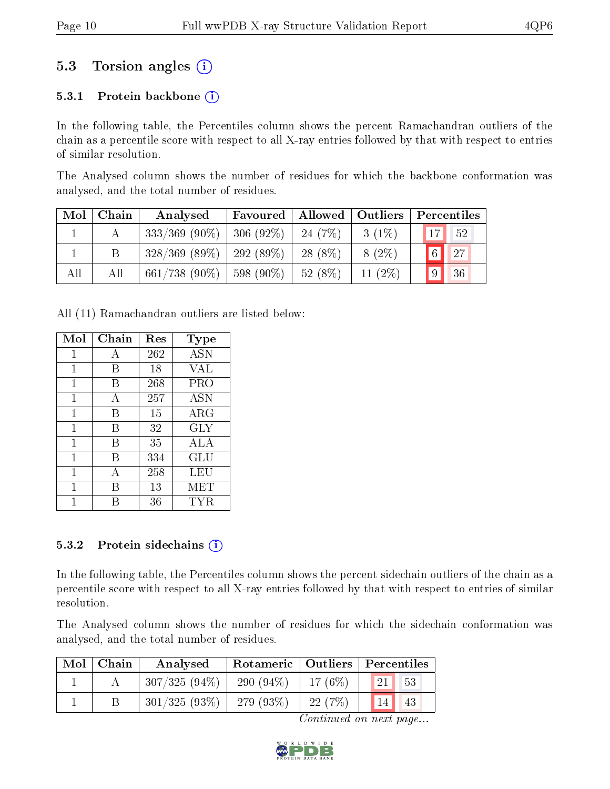### 5.3 Torsion angles (i)

#### 5.3.1 Protein backbone  $(i)$

In the following table, the Percentiles column shows the percent Ramachandran outliers of the chain as a percentile score with respect to all X-ray entries followed by that with respect to entries of similar resolution.

The Analysed column shows the number of residues for which the backbone conformation was analysed, and the total number of residues.

| $\blacksquare$ Mol $\blacksquare$ | Chain | Analysed                      | Favoured   Allowed   Outliers |            |           | Percentiles           |
|-----------------------------------|-------|-------------------------------|-------------------------------|------------|-----------|-----------------------|
|                                   |       | $333/369$ (90\%)   306 (92\%) |                               | $-24(7%)$  | $3(1\%)$  | 17 <sup>1</sup><br>52 |
|                                   |       | $328/369$ (89\%)   292 (89\%) |                               | $-28(8\%)$ | $8(2\%)$  | $\boxed{6}$<br>27     |
| All                               | All   | 661/738 (90%)   598 (90%)     |                               | 52(8%)     | 11 $(2%)$ | 36<br>9               |

All (11) Ramachandran outliers are listed below:

| Mol         | Chain | $\operatorname{Res}% \left( \mathcal{N}\right) \equiv\operatorname{Res}(\mathcal{N}_{0})\cap\mathcal{N}_{1}$ | Type       |
|-------------|-------|--------------------------------------------------------------------------------------------------------------|------------|
| 1           | А     | 262                                                                                                          | <b>ASN</b> |
| 1           | В     | 18                                                                                                           | <b>VAL</b> |
| 1           | B     | 268                                                                                                          | PRO        |
| 1           | А     | 257                                                                                                          | <b>ASN</b> |
| 1           | В     | 15                                                                                                           | ARG        |
| 1           | В     | 32                                                                                                           | <b>GLY</b> |
| $\mathbf 1$ | В     | 35                                                                                                           | ALA        |
| 1           | В     | 334                                                                                                          | <b>GLU</b> |
| 1           | А     | 258                                                                                                          | LEU        |
| 1           | В     | 13                                                                                                           | MET        |
|             | R     | 36                                                                                                           | TYR.       |

#### 5.3.2 Protein sidechains  $(i)$

In the following table, the Percentiles column shows the percent sidechain outliers of the chain as a percentile score with respect to all X-ray entries followed by that with respect to entries of similar resolution.

The Analysed column shows the number of residues for which the sidechain conformation was analysed, and the total number of residues.

| $Mol$   Chain | Analysed        |             | Rotameric   Outliers   Percentiles |                                |
|---------------|-----------------|-------------|------------------------------------|--------------------------------|
|               | $307/325(94\%)$ | $290(94\%)$ | $-17(6%)$                          | $\sqrt{53}$<br>21 <sup>1</sup> |
|               | $301/325(93\%)$ | 279 (93\%)  | 22(7%)                             | 43                             |

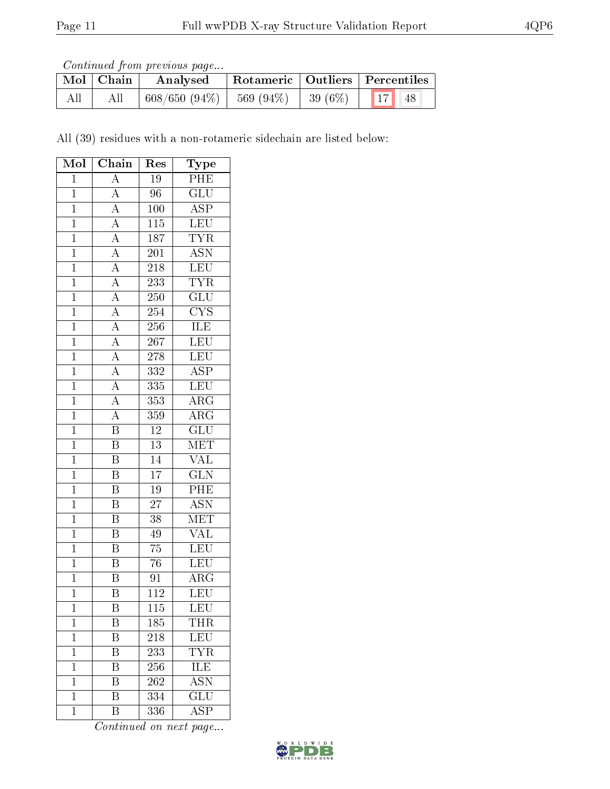Continued from previous page...

|     | Mol   Chain | Analysed        | Rotameric   Outliers   Percentiles                                                                   |  |  |  |  |
|-----|-------------|-----------------|------------------------------------------------------------------------------------------------------|--|--|--|--|
| All | All         | $608/650(94\%)$ | $\begin{array}{ c c c c c c c c c } \hline 569 & (94\%) & 39 & (6\%) & 17 & 48 \ \hline \end{array}$ |  |  |  |  |

All (39) residues with a non-rotameric sidechain are listed below:

| Mol            | Chain                               | Res                         | Type                                       |
|----------------|-------------------------------------|-----------------------------|--------------------------------------------|
| $\mathbf{1}$   | $\boldsymbol{A}$                    | 19                          | PHE                                        |
| $\overline{1}$ | $\overline{A}$                      | $\overline{96}$             | $\overline{\text{GLU}}$                    |
| $\mathbf{1}$   | $\overline{A}$                      | 100                         | $\overline{\text{ASP}}$                    |
| $\overline{1}$ | $\frac{\overline{A}}{\overline{A}}$ | $\overline{115}$            | LEU                                        |
| $\overline{1}$ |                                     | 187                         | $\frac{\overline{\text{TYR}}}{\text{ASN}}$ |
| $\overline{1}$ |                                     | $\overline{201}$            |                                            |
| $\overline{1}$ | $\overline{A}$                      | 218                         | $\frac{\overline{\text{LEU}}}{\text{TYR}}$ |
| $\overline{1}$ | $\overline{A}$                      | 233                         |                                            |
| $\overline{1}$ | $\overline{A}$                      | 250                         | $\overline{\text{GLU}}$                    |
| $\overline{1}$ | $\overline{A}$                      | 254                         | $\overline{\text{CYS}}$                    |
| $\overline{1}$ | $\overline{A}$                      | 256                         | <b>ILE</b>                                 |
| $\mathbf{1}$   | $\overline{A}$                      | 267                         | LEU                                        |
| $\mathbf{1}$   | $\frac{\overline{A}}{\overline{A}}$ | 278                         | LEU                                        |
| $\overline{1}$ |                                     | $\overline{332}$            | $\overline{\text{ASP}}$                    |
| $\mathbf{1}$   | $\frac{\overline{A}}{\overline{A}}$ | $335\,$                     | $\overline{\text{LEU}}$                    |
| $\overline{1}$ |                                     | 353                         | $\overline{\rm{ARG}}$                      |
| $\overline{1}$ | $\overline{A}$                      | 359                         | $\overline{\rm{ARG}}$                      |
| $\mathbf{1}$   | $\overline{\mathbf{B}}$             | $12\,$                      | $\overline{\text{GLU}}$                    |
| $\mathbf 1$    | $\overline{\mathrm{B}}$             | $\overline{13}$             | MET                                        |
| $\overline{1}$ | B                                   | $\overline{14}$             | <b>VAL</b>                                 |
| $\overline{1}$ | $\overline{\mathrm{B}}$             | $\overline{17}$             | $\overline{\text{GLN}}$                    |
| $\overline{1}$ | $\overline{B}$                      | $\overline{19}$             | $\overline{\text{PHE}}$                    |
| $\mathbf{1}$   | $\overline{\mathrm{B}}$             | $\overline{27}$             | $\overline{\mathrm{ASN}}$                  |
| $\overline{1}$ | $\overline{\mathrm{B}}$             | $\overline{38}$             | MET                                        |
| $\mathbf 1$    | B                                   | 49                          | $\overline{\text{VAL}}$                    |
| $\overline{1}$ | $\overline{\mathrm{B}}$             | $\overline{75}$             | LEU                                        |
| $\mathbf{1}$   | $\overline{\mathrm{B}}$             | 76                          | LEU                                        |
| $\overline{1}$ | $\overline{\mathrm{B}}$             | 91                          | ARG                                        |
| $\overline{1}$ | $\overline{\mathrm{B}}$             | 112                         | LEU                                        |
| 1              | Β                                   | 115                         | LEU                                        |
| $\mathbf{1}$   | Β                                   | 185                         | <b>THR</b>                                 |
| $\mathbf 1$    | B                                   | 218                         | <b>LEU</b>                                 |
| $\mathbf 1$    | $\overline{\mathrm{B}}$             | $2\overline{3}\overline{3}$ | $\overline{\text{TYR}}$                    |
| $\mathbf{1}$   | B                                   | 256                         | <b>ILE</b>                                 |
| $\mathbf{1}$   | Β                                   | 262                         | <b>ASN</b>                                 |
| $\mathbf{1}$   | $\overline{\mathrm{B}}$             | 334                         | $\overline{\text{GLU}}$                    |
| $\mathbf 1$    | Β                                   | 336                         | $\overline{\rm A}\overline{\rm S}{\rm P}$  |

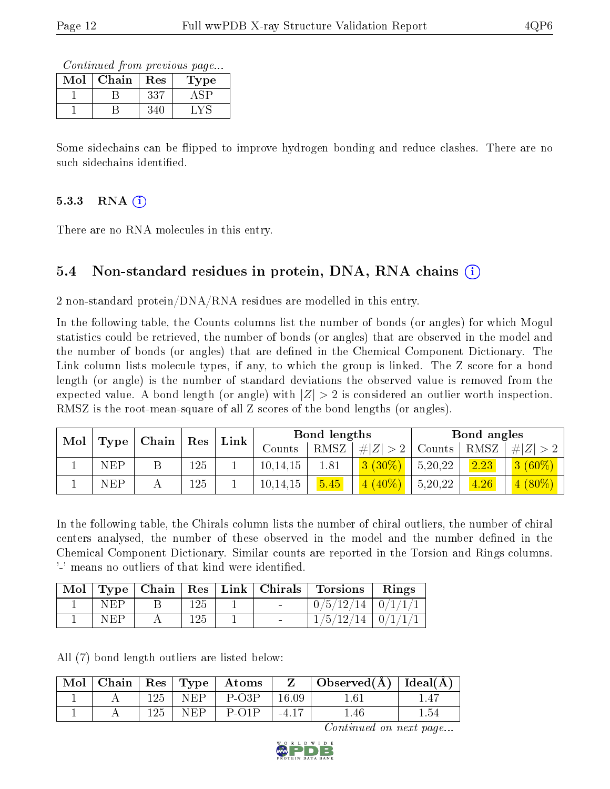Continued from previous page...

| Mol | ${\bf Chain}$ | Res          | Type |
|-----|---------------|--------------|------|
|     |               | $33^{\circ}$ |      |
|     |               |              |      |

Some sidechains can be flipped to improve hydrogen bonding and reduce clashes. There are no such sidechains identified.

### $5.3.3$  RNA  $(i)$

There are no RNA molecules in this entry.

### 5.4 Non-standard residues in protein, DNA, RNA chains (i)

2 non-standard protein/DNA/RNA residues are modelled in this entry.

In the following table, the Counts columns list the number of bonds (or angles) for which Mogul statistics could be retrieved, the number of bonds (or angles) that are observed in the model and the number of bonds (or angles) that are dened in the Chemical Component Dictionary. The Link column lists molecule types, if any, to which the group is linked. The Z score for a bond length (or angle) is the number of standard deviations the observed value is removed from the expected value. A bond length (or angle) with  $|Z| > 2$  is considered an outlier worth inspection. RMSZ is the root-mean-square of all Z scores of the bond lengths (or angles).

| Mol |            |  |     | $\mid$ Type $\mid$ Chain $\mid$ |          |      |                      |         |        | $\operatorname{Res}$ | ${\rm Link}$ |  | Bond lengths |  |  | Bond angles |  |
|-----|------------|--|-----|---------------------------------|----------|------|----------------------|---------|--------|----------------------|--------------|--|--------------|--|--|-------------|--|
|     |            |  |     |                                 | Counts   | RMSZ | $\# Z  > 2$   Counts |         | ' RMSZ | $\# Z  > 2$          |              |  |              |  |  |             |  |
|     | <b>NEP</b> |  | 125 |                                 | 10,14,15 | 1.81 | $3(30\%)$            | 5,20,22 | 2.23   | $3(60\%)$            |              |  |              |  |  |             |  |
|     | <b>NEP</b> |  | 125 |                                 | 10,14,15 | 5.45 | $(40\%)$             | 5,20,22 | 4.26   | $4(80\%)$            |              |  |              |  |  |             |  |

In the following table, the Chirals column lists the number of chiral outliers, the number of chiral centers analysed, the number of these observed in the model and the number defined in the Chemical Component Dictionary. Similar counts are reported in the Torsion and Rings columns. '-' means no outliers of that kind were identified.

| Mol |     |     |  | $\vert$ Type $\vert$ Chain $\vert$ Res $\vert$ Link $\vert$ Chirals $\vert$ Torsions | Rings |
|-----|-----|-----|--|--------------------------------------------------------------------------------------|-------|
|     | NFP | 125 |  | $0/5/12/14$   $0/1/1/1$                                                              |       |
|     | NFP | 125 |  | $1/5/12/14$   $0/1/1/1$                                                              |       |

All (7) bond length outliers are listed below:

| $\text{Mol}$ |     |      | $\vert$ Chain $\vert$ Res $\vert$ Type $\vert$ Atoms |           | Observed $(\AA)$   Ideal $(\AA)$ |     |
|--------------|-----|------|------------------------------------------------------|-----------|----------------------------------|-----|
|              | 125 | NEP  | P-O3P                                                | $16.09\,$ | $1.61\,$                         |     |
|              | 125 | NEP. | $P_{O1}$                                             |           | $1.46^{\circ}$                   | .54 |

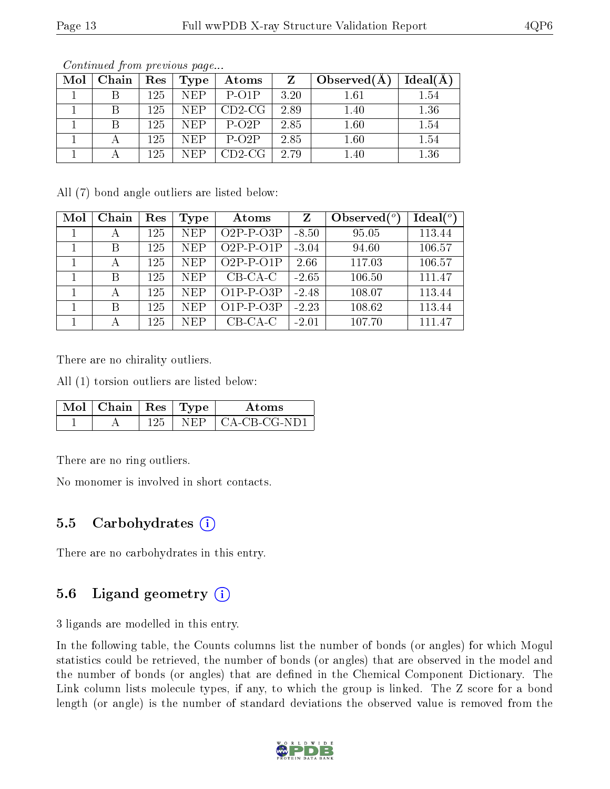| $\text{Mol}$ | Chain | $\operatorname{Res}$ | Type       | Atoms    | <b>Z</b> | Observed $(A)$ | Ideal(A) |
|--------------|-------|----------------------|------------|----------|----------|----------------|----------|
|              |       | 125.                 | NEP        | $P$ -O1P | 3.20     | $1.61\,$       | $1.54\,$ |
|              |       | 125                  | <b>NEP</b> | $CD2-CG$ | 2.89     | 1.40           | 1.36     |
|              |       | 125                  | <b>NEP</b> | $P-O2P$  | 2.85     | 1.60           | 1.54     |
|              |       | 125                  | <b>NEP</b> | $P-O2P$  | 2.85     | 1.60           | 1.54     |
|              |       | 125                  | NEP        | $CD2-CG$ | 2.79     | 1.40           | 1.36     |

Continued from previous page...

All (7) bond angle outliers are listed below:

| Mol | Chain | Res | Type       | Atoms       | $\mathbf{Z}$ | Observed $(°)$ | $Ideal(^o)$ |
|-----|-------|-----|------------|-------------|--------------|----------------|-------------|
|     | А     | 125 | <b>NEP</b> | $O2P-P-O3P$ | $-8.50$      | 95.05          | 113.44      |
|     | B     | 125 | <b>NEP</b> | $O2P-P-O1P$ | $-3.04$      | 94.60          | 106.57      |
|     |       | 125 | <b>NEP</b> | $O2P-P-O1P$ | 2.66         | 117.03         | 106.57      |
|     | B     | 125 | <b>NEP</b> | $CB-CA-C$   | $-2.65$      | 106.50         | 111.47      |
|     |       | 125 | <b>NEP</b> | $O1P-P-O3P$ | $-2.48$      | 108.07         | 113.44      |
|     | В     | 125 | <b>NEP</b> | $O1P-P-O3P$ | $-2.23$      | 108.62         | 113.44      |
|     | А     | 125 | <b>NEP</b> | $CB-CA-C$   | $-2.01$      | 107.70         | 111.47      |

There are no chirality outliers.

All (1) torsion outliers are listed below:

| Mol | $\top$ Chain   Res   Type $\top$ |  | Atoms          |
|-----|----------------------------------|--|----------------|
|     |                                  |  | CA-CB-CG-ND1 - |

There are no ring outliers.

No monomer is involved in short contacts.

#### 5.5 Carbohydrates  $(i)$

There are no carbohydrates in this entry.

### 5.6 Ligand geometry (i)

3 ligands are modelled in this entry.

In the following table, the Counts columns list the number of bonds (or angles) for which Mogul statistics could be retrieved, the number of bonds (or angles) that are observed in the model and the number of bonds (or angles) that are dened in the Chemical Component Dictionary. The Link column lists molecule types, if any, to which the group is linked. The Z score for a bond length (or angle) is the number of standard deviations the observed value is removed from the

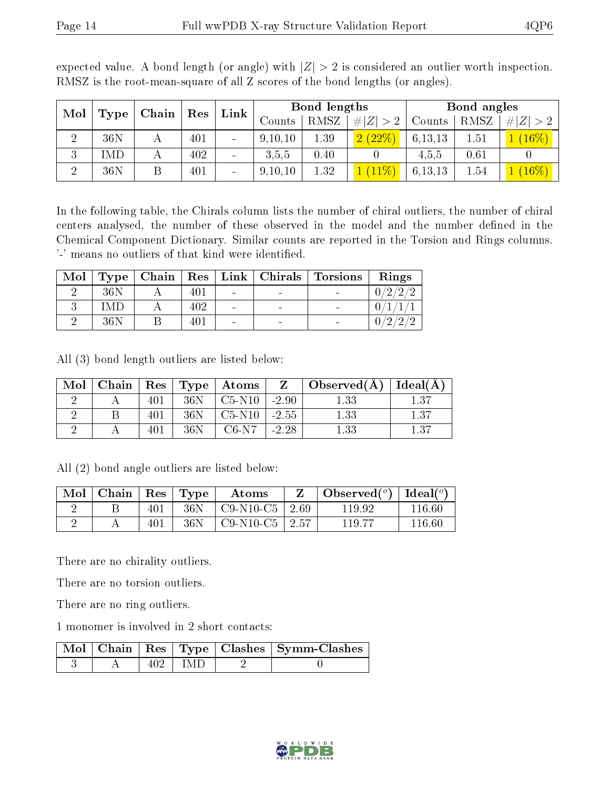| Mol            |      | Chain | $\mid$ Res | Link           | Bond lengths |             |             | Bond angles |      |   |
|----------------|------|-------|------------|----------------|--------------|-------------|-------------|-------------|------|---|
|                | Type |       |            |                | Counts       | <b>RMSZ</b> | # $ Z  > 2$ | Counts      | RMSZ | Z |
| ച<br>∠         | 36N  |       | 401        | $\sim$         | 9,10,10      | 1.39        | (2.22%)     | 6,13,13     | 1.51 |   |
| 3              | IMD  |       | 402        | $\blacksquare$ | 3,5,5        | 0.40        |             | 4,5,5       | 0.61 |   |
| $\overline{2}$ | 36N  |       | 401        | $\sim$         | 9,10,10      | 1.32        |             | 6, 13, 13   | 1.54 |   |

expected value. A bond length (or angle) with  $|Z| > 2$  is considered an outlier worth inspection. RMSZ is the root-mean-square of all Z scores of the bond lengths (or angles).

In the following table, the Chirals column lists the number of chiral outliers, the number of chiral centers analysed, the number of these observed in the model and the number defined in the Chemical Component Dictionary. Similar counts are reported in the Torsion and Rings columns. '-' means no outliers of that kind were identified.

| Mol |     |     |  | $Type   Chain   Res   Link   Christmas   Torsions   Rings$ |        |
|-----|-----|-----|--|------------------------------------------------------------|--------|
|     | 36N | 401 |  |                                                            | 0/2/2/ |
|     | -MF | 402 |  |                                                            |        |
|     | 36N | 401 |  |                                                            | 7റ     |

All (3) bond length outliers are listed below:

| Mol | Chain |     |     | $\mid$ $\mathrm{Res}\mid\mathrm{Type}\mid\mathrm{Atoms}$ |         | $Z \cup Observed(A)$ | Ideal(A) |
|-----|-------|-----|-----|----------------------------------------------------------|---------|----------------------|----------|
|     |       | 401 | 36N | $C5-N10$                                                 | $-2.90$ | $1.33\,$             | $1.37\,$ |
|     |       |     | 36N | $C5-N10$                                                 | $-2.55$ | 1.33                 | $1.37\,$ |
|     |       | 401 | 36N | $C6-N7$                                                  | $-2.28$ | 1.33                 | 1.37     |

All (2) bond angle outliers are listed below:

| Mol | Chain | $\perp$ Res | Type | Atoms       |         | Observed $(°)$ | Ideal $(°)$ |
|-----|-------|-------------|------|-------------|---------|----------------|-------------|
|     |       | 401         | 36N  | $C9-N10-C5$ | 2.69    | 119.92         | $116.60\,$  |
|     |       | 401         | 36N  | $C9-N10-C5$ | $+2.57$ | 119.77         | 116 60      |

There are no chirality outliers.

There are no torsion outliers.

There are no ring outliers.

1 monomer is involved in 2 short contacts:

|  |       | Mol   Chain   Res   Type   Clashes   Symm-Clashes |
|--|-------|---------------------------------------------------|
|  | l IMD |                                                   |

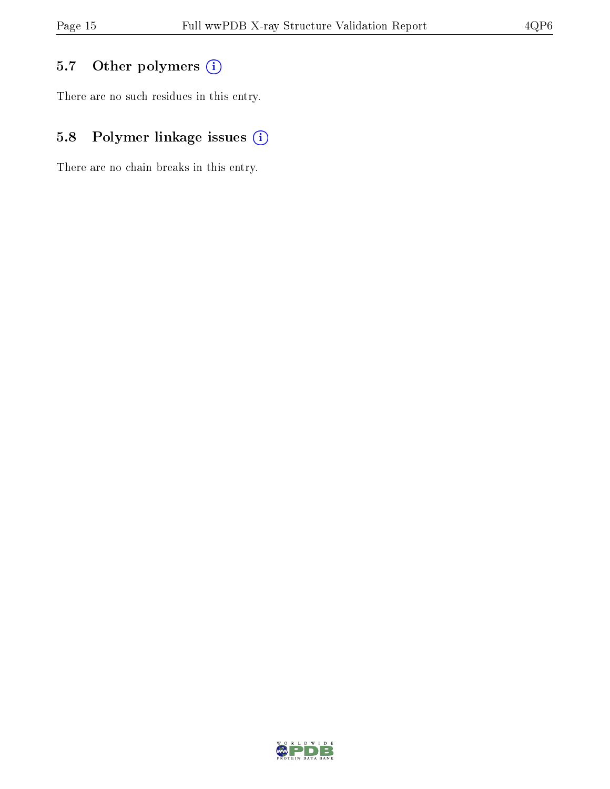## 5.7 [O](https://www.wwpdb.org/validation/2017/XrayValidationReportHelp#nonstandard_residues_and_ligands)ther polymers (i)

There are no such residues in this entry.

## 5.8 Polymer linkage issues (i)

There are no chain breaks in this entry.

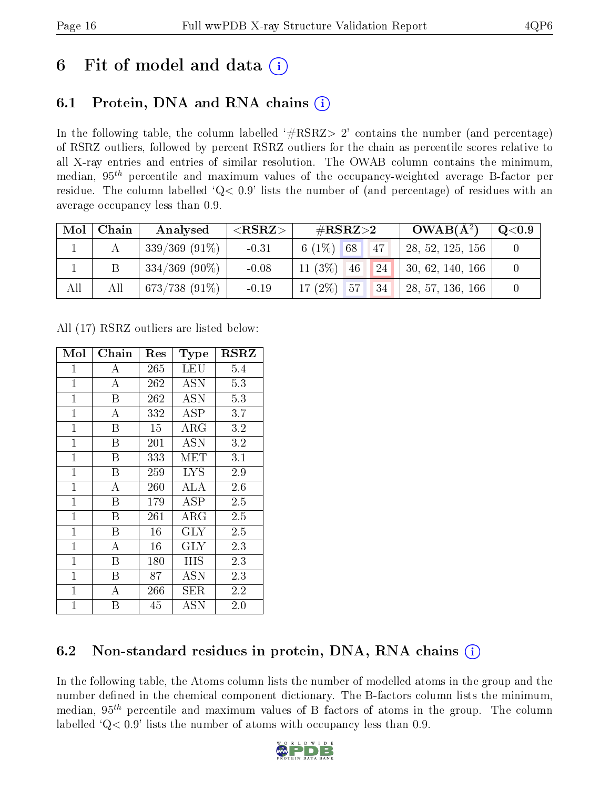## 6 Fit of model and data  $\left( \frac{1}{2} \right)$

## 6.1 Protein, DNA and RNA chains (i)

In the following table, the column labelled  $#RSRZ> 2'$  contains the number (and percentage) of RSRZ outliers, followed by percent RSRZ outliers for the chain as percentile scores relative to all X-ray entries and entries of similar resolution. The OWAB column contains the minimum, median,  $95<sup>th</sup>$  percentile and maximum values of the occupancy-weighted average B-factor per residue. The column labelled  $Q< 0.9$  lists the number of (and percentage) of residues with an average occupancy less than 0.9.

| Mol | Chain | Analysed           | $<$ RSRZ $>$ | # $RSRZ>2$                                      | $OWAB(A^2)$      | $\rm Q\textcolor{black}{<}0.9$ |
|-----|-------|--------------------|--------------|-------------------------------------------------|------------------|--------------------------------|
|     |       | $339/369$ $(91\%)$ | $-0.31$      | 6 $(1%)$<br>68<br>47                            | 28, 52, 125, 156 |                                |
|     |       | $334/369$ (90\%)   | $-0.08$      | $11(3\%)$<br>24<br>46                           | 30, 62, 140, 166 |                                |
| All | All   | $673/738(91\%)$    | $-0.19$      | $(2\%)$<br>17 <sup>°</sup><br>57<br>$\sqrt{34}$ | 28, 57, 136, 166 |                                |

All (17) RSRZ outliers are listed below:

| Mol          | Chain              | $\operatorname{Res}% \left( \mathcal{N}\right) \equiv\operatorname{Res}(\mathcal{N}_{0})\cap\mathcal{N}_{1}$ | <b>Type</b> | <b>RSRZ</b> |
|--------------|--------------------|--------------------------------------------------------------------------------------------------------------|-------------|-------------|
| $\mathbf{1}$ | $\bf{A}$           | 265                                                                                                          | <b>LEU</b>  | 5.4         |
| $\mathbf{1}$ | $\overline{\rm A}$ | 262                                                                                                          | ASN         | 5.3         |
| $\mathbf{1}$ | B                  | 262                                                                                                          | <b>ASN</b>  | 5.3         |
| $\mathbf{1}$ | A                  | 332                                                                                                          | ASP         | 3.7         |
| $\mathbf{1}$ | Β                  | 15                                                                                                           | $\rm{ARG}$  | 3.2         |
| $\mathbf{1}$ | B                  | 201                                                                                                          | ASN         | 3.2         |
| $\mathbf{1}$ | B                  | 333                                                                                                          | MET         | 3.1         |
| $\mathbf{1}$ | B                  | 259                                                                                                          | LYS         | 2.9         |
| $\mathbf{1}$ | $\overline{A}$     | 260                                                                                                          | ALA         | 2.6         |
| $\mathbf{1}$ | B                  | 179                                                                                                          | ASP         | 2.5         |
| $\mathbf{1}$ | B                  | $261\,$                                                                                                      | $\rm{ARG}$  | 2.5         |
| $\mathbf{1}$ | B                  | 16                                                                                                           | <b>GLY</b>  | 2.5         |
| $\mathbf{1}$ | $\overline{A}$     | 16                                                                                                           | <b>GLY</b>  | 2.3         |
| $\mathbf{1}$ | B                  | 180                                                                                                          | <b>HIS</b>  | 2.3         |
| $\mathbf{1}$ | B                  | 87                                                                                                           | ASN         | 2.3         |
| $\mathbf 1$  | А                  | 266                                                                                                          | SER         | 2.2         |
| $\mathbf{1}$ | В                  | 45                                                                                                           | ĀSN         | $2.0\,$     |

### 6.2 Non-standard residues in protein, DNA, RNA chains (i)

In the following table, the Atoms column lists the number of modelled atoms in the group and the number defined in the chemical component dictionary. The B-factors column lists the minimum, median,  $95<sup>th</sup>$  percentile and maximum values of B factors of atoms in the group. The column labelled 'Q< 0.9' lists the number of atoms with occupancy less than 0.9.